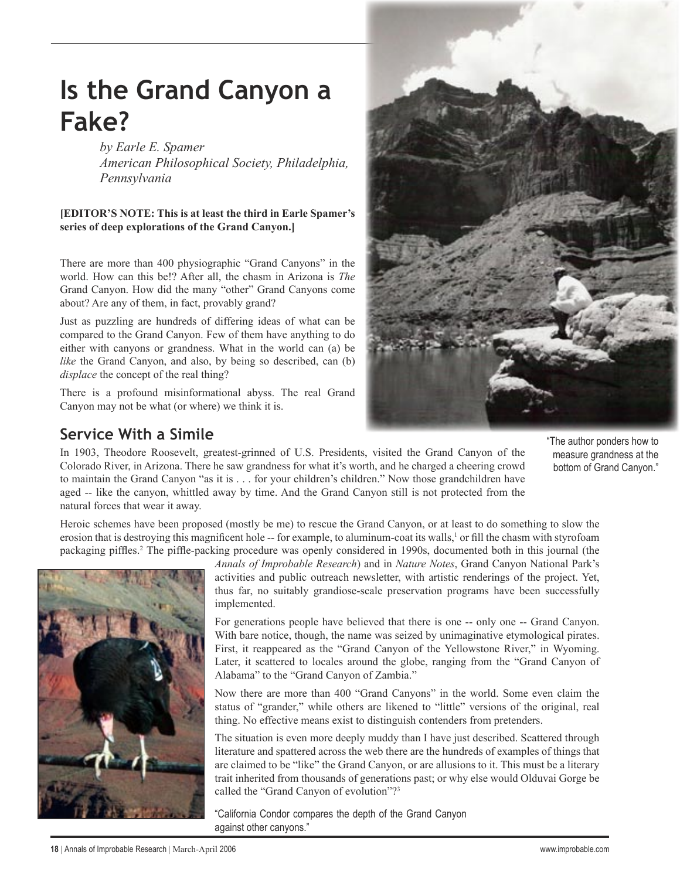# **Is the Grand Canyon a Fake?**

*by Earle E. Spamer American Philosophical Society, Philadelphia, Pennsylvania*

#### **[EDITOR'S NOTE: This is at least the third in Earle Spamer's series of deep explorations of the Grand Canyon.]**

There are more than 400 physiographic "Grand Canyons" in the world. How can this be!? After all, the chasm in Arizona is *The* Grand Canyon. How did the many "other" Grand Canyons come about? Are any of them, in fact, provably grand?

Just as puzzling are hundreds of differing ideas of what can be compared to the Grand Canyon. Few of them have anything to do either with canyons or grandness. What in the world can (a) be *like* the Grand Canyon, and also, by being so described, can (b) *displace* the concept of the real thing?

There is a profound misinformational abyss. The real Grand Canyon may not be what (or where) we think it is.



## **Service With a Simile**

In 1903, Theodore Roosevelt, greatest-grinned of U.S. Presidents, visited the Grand Canyon of the Colorado River, in Arizona. There he saw grandness for what it's worth, and he charged a cheering crowd to maintain the Grand Canyon "as it is . . . for your children's children." Now those grandchildren have aged -- like the canyon, whittled away by time. And the Grand Canyon still is not protected from the natural forces that wear it away.

"The author ponders how to measure grandness at the bottom of Grand Canyon."

Heroic schemes have been proposed (mostly be me) to rescue the Grand Canyon, or at least to do something to slow the erosion that is destroying this magnificent hole -- for example, to aluminum-coat its walls,<sup>1</sup> or fill the chasm with styrofoam packaging piffles.2 The piffle-packing procedure was openly considered in 1990s, documented both in this journal (the



*Annals of Improbable Research*) and in *Nature Notes*, Grand Canyon National Park's activities and public outreach newsletter, with artistic renderings of the project. Yet, thus far, no suitably grandiose-scale preservation programs have been successfully implemented.

For generations people have believed that there is one -- only one -- Grand Canyon. With bare notice, though, the name was seized by unimaginative etymological pirates. First, it reappeared as the "Grand Canyon of the Yellowstone River," in Wyoming. Later, it scattered to locales around the globe, ranging from the "Grand Canyon of Alabama" to the "Grand Canyon of Zambia."

Now there are more than 400 "Grand Canyons" in the world. Some even claim the status of "grander," while others are likened to "little" versions of the original, real thing. No effective means exist to distinguish contenders from pretenders.

The situation is even more deeply muddy than I have just described. Scattered through literature and spattered across the web there are the hundreds of examples of things that are claimed to be "like" the Grand Canyon, or are allusions to it. This must be a literary trait inherited from thousands of generations past; or why else would Olduvai Gorge be called the "Grand Canyon of evolution"?3

"California Condor compares the depth of the Grand Canyon against other canyons."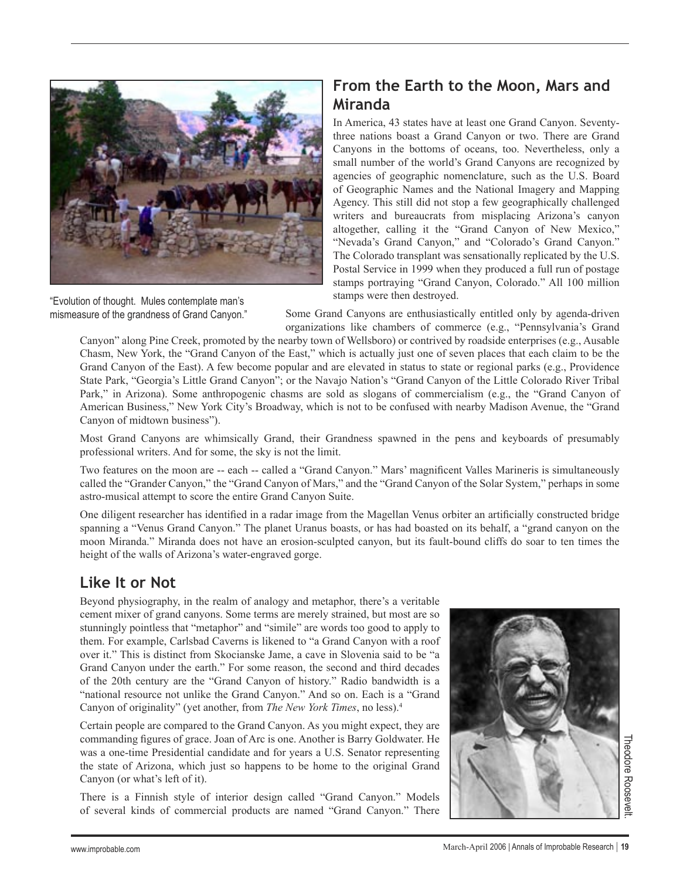

"Evolution of thought. Mules contemplate man's mismeasure of the grandness of Grand Canyon."

### **From the Earth to the Moon, Mars and Miranda**

In America, 43 states have at least one Grand Canyon. Seventythree nations boast a Grand Canyon or two. There are Grand Canyons in the bottoms of oceans, too. Nevertheless, only a small number of the world's Grand Canyons are recognized by agencies of geographic nomenclature, such as the U.S. Board of Geographic Names and the National Imagery and Mapping Agency. This still did not stop a few geographically challenged writers and bureaucrats from misplacing Arizona's canyon altogether, calling it the "Grand Canyon of New Mexico," "Nevada's Grand Canyon," and "Colorado's Grand Canyon." The Colorado transplant was sensationally replicated by the U.S. Postal Service in 1999 when they produced a full run of postage stamps portraying "Grand Canyon, Colorado." All 100 million stamps were then destroyed.

Some Grand Canyons are enthusiastically entitled only by agenda-driven organizations like chambers of commerce (e.g., "Pennsylvania's Grand

Canyon" along Pine Creek, promoted by the nearby town of Wellsboro) or contrived by roadside enterprises (e.g., Ausable Chasm, New York, the "Grand Canyon of the East," which is actually just one of seven places that each claim to be the Grand Canyon of the East). A few become popular and are elevated in status to state or regional parks (e.g., Providence State Park, "Georgia's Little Grand Canyon"; or the Navajo Nation's "Grand Canyon of the Little Colorado River Tribal Park," in Arizona). Some anthropogenic chasms are sold as slogans of commercialism (e.g., the "Grand Canyon of American Business," New York City's Broadway, which is not to be confused with nearby Madison Avenue, the "Grand Canyon of midtown business").

Most Grand Canyons are whimsically Grand, their Grandness spawned in the pens and keyboards of presumably professional writers. And for some, the sky is not the limit.

Two features on the moon are -- each -- called a "Grand Canyon." Mars' magnificent Valles Marineris is simultaneously called the "Grander Canyon," the "Grand Canyon of Mars," and the "Grand Canyon of the Solar System," perhaps in some astro-musical attempt to score the entire Grand Canyon Suite.

One diligent researcher has identified in a radar image from the Magellan Venus orbiter an artificially constructed bridge spanning a "Venus Grand Canyon." The planet Uranus boasts, or has had boasted on its behalf, a "grand canyon on the moon Miranda." Miranda does not have an erosion-sculpted canyon, but its fault-bound cliffs do soar to ten times the height of the walls of Arizona's water-engraved gorge.

#### **Like It or Not**

Beyond physiography, in the realm of analogy and metaphor, there's a veritable cement mixer of grand canyons. Some terms are merely strained, but most are so stunningly pointless that "metaphor" and "simile" are words too good to apply to them. For example, Carlsbad Caverns is likened to "a Grand Canyon with a roof over it." This is distinct from Skocianske Jame, a cave in Slovenia said to be "a Grand Canyon under the earth." For some reason, the second and third decades of the 20th century are the "Grand Canyon of history." Radio bandwidth is a "national resource not unlike the Grand Canyon." And so on. Each is a "Grand Canyon of originality" (yet another, from *The New York Times*, no less).4

Certain people are compared to the Grand Canyon. As you might expect, they are commanding figures of grace. Joan of Arc is one. Another is Barry Goldwater. He was a one-time Presidential candidate and for years a U.S. Senator representing the state of Arizona, which just so happens to be home to the original Grand Canyon (or what's left of it).

There is a Finnish style of interior design called "Grand Canyon." Models of several kinds of commercial products are named "Grand Canyon." There

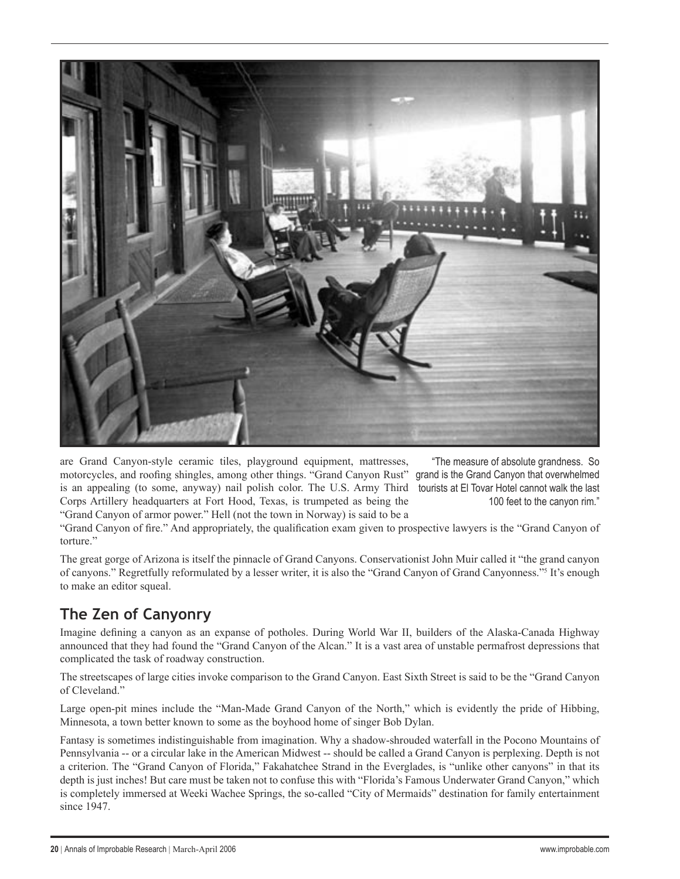

are Grand Canyon-style ceramic tiles, playground equipment, mattresses, motorcycles, and roofing shingles, among other things. "Grand Canyon Rust" is an appealing (to some, anyway) nail polish color. The U.S. Army Third Corps Artillery headquarters at Fort Hood, Texas, is trumpeted as being the "Grand Canyon of armor power." Hell (not the town in Norway) is said to be a

"The measure of absolute grandness. So grand is the Grand Canyon that overwhelmed tourists at El Tovar Hotel cannot walk the last 100 feet to the canyon rim."

"Grand Canyon of fire." And appropriately, the qualification exam given to prospective lawyers is the "Grand Canyon of torture."

The great gorge of Arizona is itself the pinnacle of Grand Canyons. Conservationist John Muir called it "the grand canyon of canyons." Regretfully reformulated by a lesser writer, it is also the "Grand Canyon of Grand Canyonness."<sup>5</sup> It's enough to make an editor squeal.

# **The Zen of Canyonry**

Imagine defining a canyon as an expanse of potholes. During World War II, builders of the Alaska-Canada Highway announced that they had found the "Grand Canyon of the Alcan." It is a vast area of unstable permafrost depressions that complicated the task of roadway construction.

The streetscapes of large cities invoke comparison to the Grand Canyon. East Sixth Street is said to be the "Grand Canyon of Cleveland."

Large open-pit mines include the "Man-Made Grand Canyon of the North," which is evidently the pride of Hibbing, Minnesota, a town better known to some as the boyhood home of singer Bob Dylan.

Fantasy is sometimes indistinguishable from imagination. Why a shadow-shrouded waterfall in the Pocono Mountains of Pennsylvania -- or a circular lake in the American Midwest -- should be called a Grand Canyon is perplexing. Depth is not a criterion. The "Grand Canyon of Florida," Fakahatchee Strand in the Everglades, is "unlike other canyons" in that its depth is just inches! But care must be taken not to confuse this with "Florida's Famous Underwater Grand Canyon," which is completely immersed at Weeki Wachee Springs, the so-called "City of Mermaids" destination for family entertainment since 1947.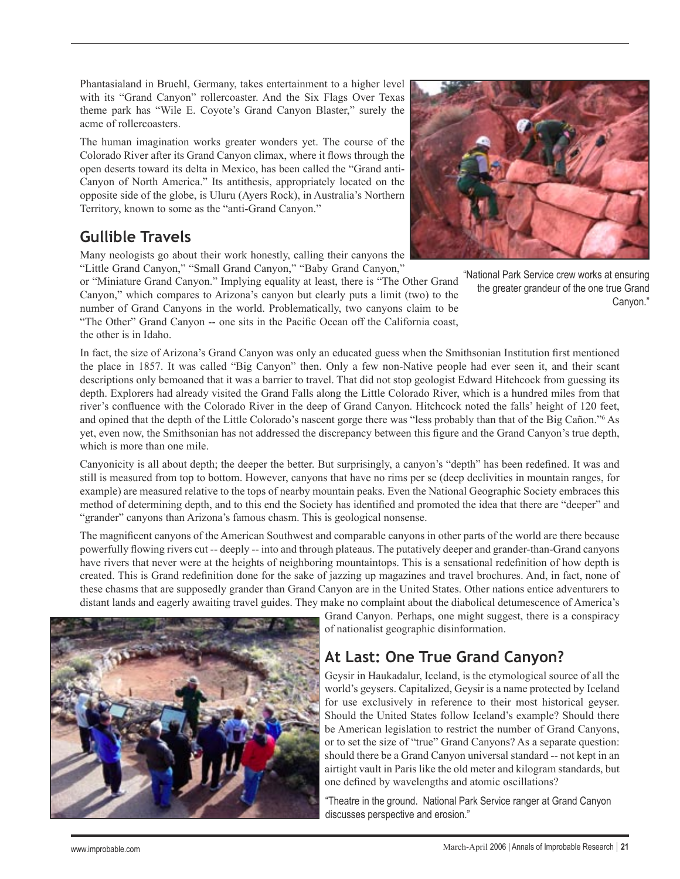Phantasialand in Bruehl, Germany, takes entertainment to a higher level with its "Grand Canyon" rollercoaster. And the Six Flags Over Texas theme park has "Wile E. Coyote's Grand Canyon Blaster," surely the acme of rollercoasters.

The human imagination works greater wonders yet. The course of the Colorado River after its Grand Canyon climax, where it flows through the open deserts toward its delta in Mexico, has been called the "Grand anti-Canyon of North America." Its antithesis, appropriately located on the opposite side of the globe, is Uluru (Ayers Rock), in Australia's Northern Territory, known to some as the "anti-Grand Canyon."

# **Gullible Travels**

Many neologists go about their work honestly, calling their canyons the "Little Grand Canyon," "Small Grand Canyon," "Baby Grand Canyon,"

or "Miniature Grand Canyon." Implying equality at least, there is "The Other Grand Canyon," which compares to Arizona's canyon but clearly puts a limit (two) to the number of Grand Canyons in the world. Problematically, two canyons claim to be "The Other" Grand Canyon -- one sits in the Pacific Ocean off the California coast, the other is in Idaho.



"National Park Service crew works at ensuring the greater grandeur of the one true Grand Canyon."

In fact, the size of Arizona's Grand Canyon was only an educated guess when the Smithsonian Institution first mentioned the place in 1857. It was called "Big Canyon" then. Only a few non-Native people had ever seen it, and their scant descriptions only bemoaned that it was a barrier to travel. That did not stop geologist Edward Hitchcock from guessing its depth. Explorers had already visited the Grand Falls along the Little Colorado River, which is a hundred miles from that river's confluence with the Colorado River in the deep of Grand Canyon. Hitchcock noted the falls' height of 120 feet, and opined that the depth of the Little Colorado's nascent gorge there was "less probably than that of the Big Cañon." As yet, even now, the Smithsonian has not addressed the discrepancy between this figure and the Grand Canyon's true depth, which is more than one mile.

Canyonicity is all about depth; the deeper the better. But surprisingly, a canyon's "depth" has been redefined. It was and still is measured from top to bottom. However, canyons that have no rims per se (deep declivities in mountain ranges, for example) are measured relative to the tops of nearby mountain peaks. Even the National Geographic Society embraces this method of determining depth, and to this end the Society has identified and promoted the idea that there are "deeper" and "grander" canyons than Arizona's famous chasm. This is geological nonsense.

The magnificent canyons of the American Southwest and comparable canyons in other parts of the world are there because powerfully flowing rivers cut -- deeply -- into and through plateaus. The putatively deeper and grander-than-Grand canyons have rivers that never were at the heights of neighboring mountaintops. This is a sensational redefinition of how depth is created. This is Grand redefinition done for the sake of jazzing up magazines and travel brochures. And, in fact, none of these chasms that are supposedly grander than Grand Canyon are in the United States. Other nations entice adventurers to distant lands and eagerly awaiting travel guides. They make no complaint about the diabolical detumescence of America's



Grand Canyon. Perhaps, one might suggest, there is a conspiracy of nationalist geographic disinformation.

# **At Last: One True Grand Canyon?**

Geysir in Haukadalur, Iceland, is the etymological source of all the world's geysers. Capitalized, Geysir is a name protected by Iceland for use exclusively in reference to their most historical geyser. Should the United States follow Iceland's example? Should there be American legislation to restrict the number of Grand Canyons, or to set the size of "true" Grand Canyons? As a separate question: should there be a Grand Canyon universal standard -- not kept in an airtight vault in Paris like the old meter and kilogram standards, but one defined by wavelengths and atomic oscillations?

"Theatre in the ground. National Park Service ranger at Grand Canyon discusses perspective and erosion."